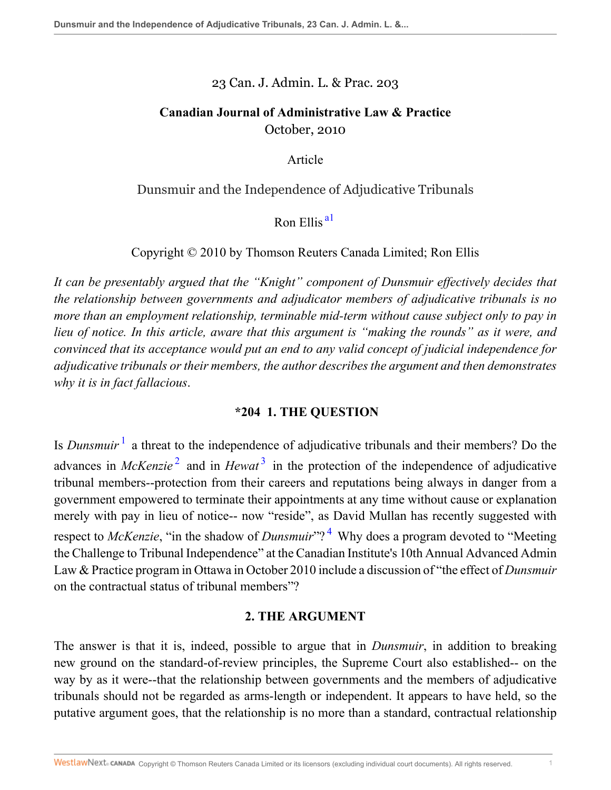### 23 Can. J. Admin. L. & Prac. 203

## **Canadian Journal of Administrative Law & Practice** October, 2010

Article

## Dunsmuir and the Independence of Adjudicative Tribunals

## <span id="page-0-0"></span>Ron Ellis<sup>al</sup>

## Copyright © 2010 by Thomson Reuters Canada Limited; Ron Ellis

*It can be presentably argued that the "Knight" component of Dunsmuir effectively decides that the relationship between governments and adjudicator members of adjudicative tribunals is no more than an employment relationship, terminable mid-term without cause subject only to pay in lieu of notice. In this article, aware that this argument is "making the rounds" as it were, and convinced that its acceptance would put an end to any valid concept of judicial independence for adjudicative tribunals or their members, the author describes the argument and then demonstrates why it is in fact fallacious*.

### <span id="page-0-3"></span><span id="page-0-2"></span>**\*204 1. THE QUESTION**

<span id="page-0-1"></span>Is *Dunsmuir*<sup>[1](#page-6-1)</sup> a threat to the independence of adjudicative tribunals and their members? Do the advances in *McKenzie*<sup>[2](#page-6-2)</sup> and in *Hewat*<sup>[3](#page-7-0)</sup> in the protection of the independence of adjudicative tribunal members--protection from their careers and reputations being always in danger from a government empowered to terminate their appointments at any time without cause or explanation merely with pay in lieu of notice-- now "reside", as David Mullan has recently suggested with respect to *McKenzie*, "in the shadow of *Dunsmuir*"?<sup>[4](#page-7-1)</sup> Why does a program devoted to "Meeting the Challenge to Tribunal Independence" at the Canadian Institute's 10th Annual Advanced Admin Law & Practice program in Ottawa in October 2010 include a discussion of "the effect of *Dunsmuir* on the contractual status of tribunal members"?

### <span id="page-0-4"></span>**2. THE ARGUMENT**

The answer is that it is, indeed, possible to argue that in *Dunsmuir*, in addition to breaking new ground on the standard-of-review principles, the Supreme Court also established-- on the way by as it were--that the relationship between governments and the members of adjudicative tribunals should not be regarded as arms-length or independent. It appears to have held, so the putative argument goes, that the relationship is no more than a standard, contractual relationship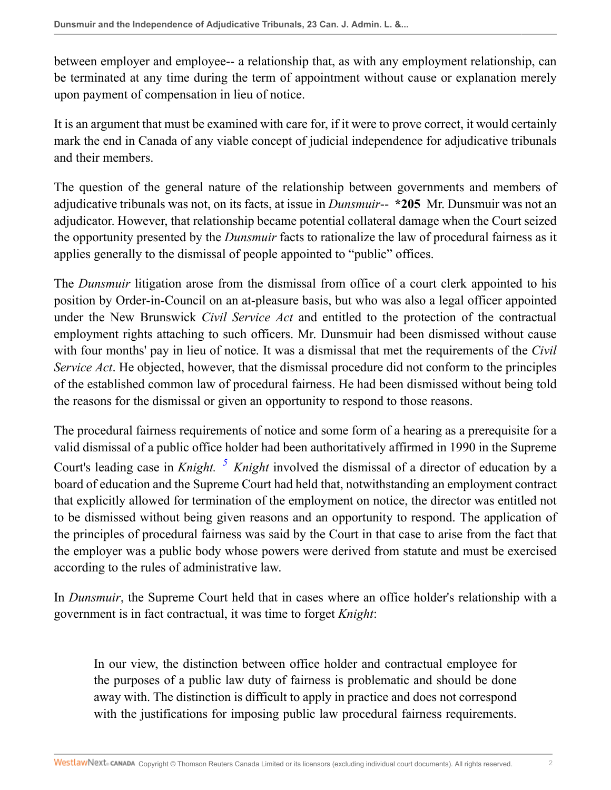between employer and employee-- a relationship that, as with any employment relationship, can be terminated at any time during the term of appointment without cause or explanation merely upon payment of compensation in lieu of notice.

It is an argument that must be examined with care for, if it were to prove correct, it would certainly mark the end in Canada of any viable concept of judicial independence for adjudicative tribunals and their members.

The question of the general nature of the relationship between governments and members of adjudicative tribunals was not, on its facts, at issue in *Dunsmuir*-- **\*205** Mr. Dunsmuir was not an adjudicator. However, that relationship became potential collateral damage when the Court seized the opportunity presented by the *Dunsmuir* facts to rationalize the law of procedural fairness as it applies generally to the dismissal of people appointed to "public" offices.

The *Dunsmuir* litigation arose from the dismissal from office of a court clerk appointed to his position by Order-in-Council on an at-pleasure basis, but who was also a legal officer appointed under the New Brunswick *Civil Service Act* and entitled to the protection of the contractual employment rights attaching to such officers. Mr. Dunsmuir had been dismissed without cause with four months' pay in lieu of notice. It was a dismissal that met the requirements of the *Civil Service Act*. He objected, however, that the dismissal procedure did not conform to the principles of the established common law of procedural fairness. He had been dismissed without being told the reasons for the dismissal or given an opportunity to respond to those reasons.

<span id="page-1-0"></span>The procedural fairness requirements of notice and some form of a hearing as a prerequisite for a valid dismissal of a public office holder had been authoritatively affirmed in 1990 in the Supreme Court's leading case in *Knight.* <sup>[5](#page-7-2)</sup> *Knight* involved the dismissal of a director of education by a board of education and the Supreme Court had held that, notwithstanding an employment contract that explicitly allowed for termination of the employment on notice, the director was entitled not to be dismissed without being given reasons and an opportunity to respond. The application of the principles of procedural fairness was said by the Court in that case to arise from the fact that the employer was a public body whose powers were derived from statute and must be exercised according to the rules of administrative law.

In *Dunsmuir*, the Supreme Court held that in cases where an office holder's relationship with a government is in fact contractual, it was time to forget *Knight*:

In our view, the distinction between office holder and contractual employee for the purposes of a public law duty of fairness is problematic and should be done away with. The distinction is difficult to apply in practice and does not correspond with the justifications for imposing public law procedural fairness requirements.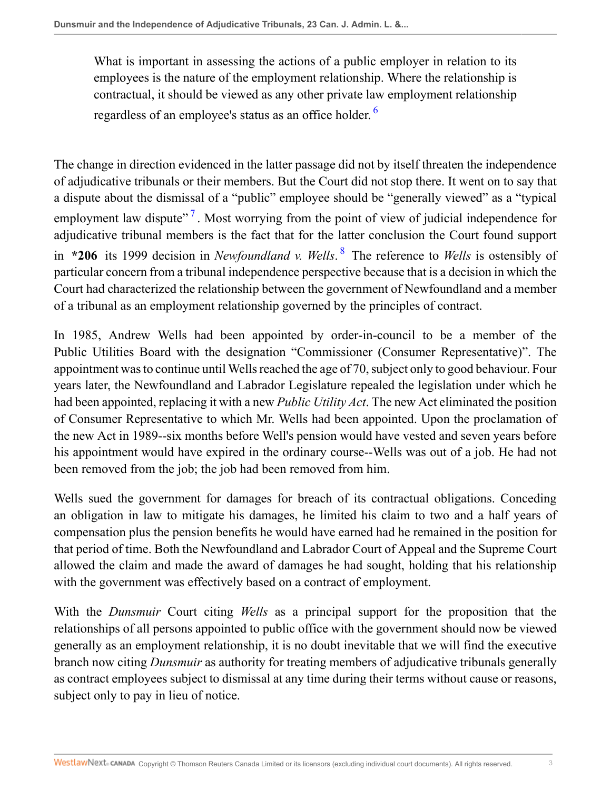<span id="page-2-0"></span>What is important in assessing the actions of a public employer in relation to its employees is the nature of the employment relationship. Where the relationship is contractual, it should be viewed as any other private law employment relationship regardless of an employee's status as an office holder.<sup>[6](#page-7-3)</sup>

<span id="page-2-2"></span><span id="page-2-1"></span>The change in direction evidenced in the latter passage did not by itself threaten the independence of adjudicative tribunals or their members. But the Court did not stop there. It went on to say that a dispute about the dismissal of a "public" employee should be "generally viewed" as a "typical employment law dispute"<sup>[7](#page-7-4)</sup>. Most worrying from the point of view of judicial independence for adjudicative tribunal members is the fact that for the latter conclusion the Court found support in **\*206** its 1999 decision in *Newfoundland v. Wells*. [8](#page-7-5) The reference to *Wells* is ostensibly of particular concern from a tribunal independence perspective because that is a decision in which the Court had characterized the relationship between the government of Newfoundland and a member of a tribunal as an employment relationship governed by the principles of contract.

In 1985, Andrew Wells had been appointed by order-in-council to be a member of the Public Utilities Board with the designation "Commissioner (Consumer Representative)". The appointment was to continue until Wells reached the age of 70, subject only to good behaviour. Four years later, the Newfoundland and Labrador Legislature repealed the legislation under which he had been appointed, replacing it with a new *Public Utility Act*. The new Act eliminated the position of Consumer Representative to which Mr. Wells had been appointed. Upon the proclamation of the new Act in 1989--six months before Well's pension would have vested and seven years before his appointment would have expired in the ordinary course--Wells was out of a job. He had not been removed from the job; the job had been removed from him.

Wells sued the government for damages for breach of its contractual obligations. Conceding an obligation in law to mitigate his damages, he limited his claim to two and a half years of compensation plus the pension benefits he would have earned had he remained in the position for that period of time. Both the Newfoundland and Labrador Court of Appeal and the Supreme Court allowed the claim and made the award of damages he had sought, holding that his relationship with the government was effectively based on a contract of employment.

With the *Dunsmuir* Court citing *Wells* as a principal support for the proposition that the relationships of all persons appointed to public office with the government should now be viewed generally as an employment relationship, it is no doubt inevitable that we will find the executive branch now citing *Dunsmuir* as authority for treating members of adjudicative tribunals generally as contract employees subject to dismissal at any time during their terms without cause or reasons, subject only to pay in lieu of notice.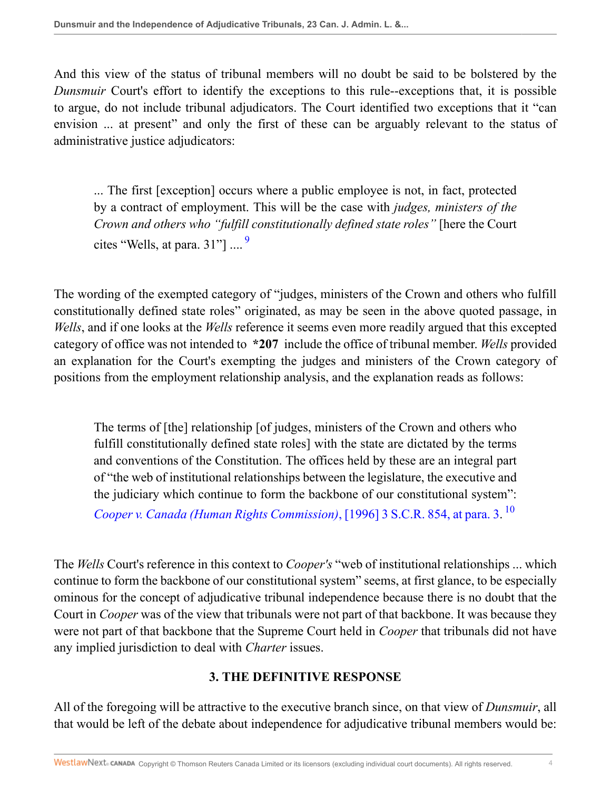And this view of the status of tribunal members will no doubt be said to be bolstered by the *Dunsmuir* Court's effort to identify the exceptions to this rule-exceptions that, it is possible to argue, do not include tribunal adjudicators. The Court identified two exceptions that it "can envision ... at present" and only the first of these can be arguably relevant to the status of administrative justice adjudicators:

<span id="page-3-0"></span>... The first [exception] occurs where a public employee is not, in fact, protected by a contract of employment. This will be the case with *judges, ministers of the Crown and others who "fulfill constitutionally defined state roles"* [here the Court cites "Wells, at para. 31"] .... [9](#page-7-6)

The wording of the exempted category of "judges, ministers of the Crown and others who fulfill constitutionally defined state roles" originated, as may be seen in the above quoted passage, in *Wells*, and if one looks at the *Wells* reference it seems even more readily argued that this excepted category of office was not intended to **\*207** include the office of tribunal member. *Wells* provided an explanation for the Court's exempting the judges and ministers of the Crown category of positions from the employment relationship analysis, and the explanation reads as follows:

The terms of [the] relationship [of judges, ministers of the Crown and others who fulfill constitutionally defined state roles] with the state are dictated by the terms and conventions of the Constitution. The offices held by these are an integral part of "the web of institutional relationships between the legislature, the executive and the judiciary which continue to form the backbone of our constitutional system": *[Cooper v. Canada \(Human Rights Commission\)](http://nextcanada.westlaw.com/Link/Document/FullText?findType=Y&serNum=1996447385&pubNum=5156&originatingDoc=I0020b944e33511df9b8c850332338889&refType=IC&originationContext=document&vr=3.0&rs=cblt1.0&transitionType=DocumentItem&contextData=(sc.Search))*, [1996] 3 S.C.R. 854, at para. 3. [10](#page-7-7)

The *Wells* Court's reference in this context to *Cooper's* "web of institutional relationships ... which continue to form the backbone of our constitutional system" seems, at first glance, to be especially ominous for the concept of adjudicative tribunal independence because there is no doubt that the Court in *Cooper* was of the view that tribunals were not part of that backbone. It was because they were not part of that backbone that the Supreme Court held in *Cooper* that tribunals did not have any implied jurisdiction to deal with *Charter* issues.

# <span id="page-3-1"></span>**3. THE DEFINITIVE RESPONSE**

All of the foregoing will be attractive to the executive branch since, on that view of *Dunsmuir*, all that would be left of the debate about independence for adjudicative tribunal members would be: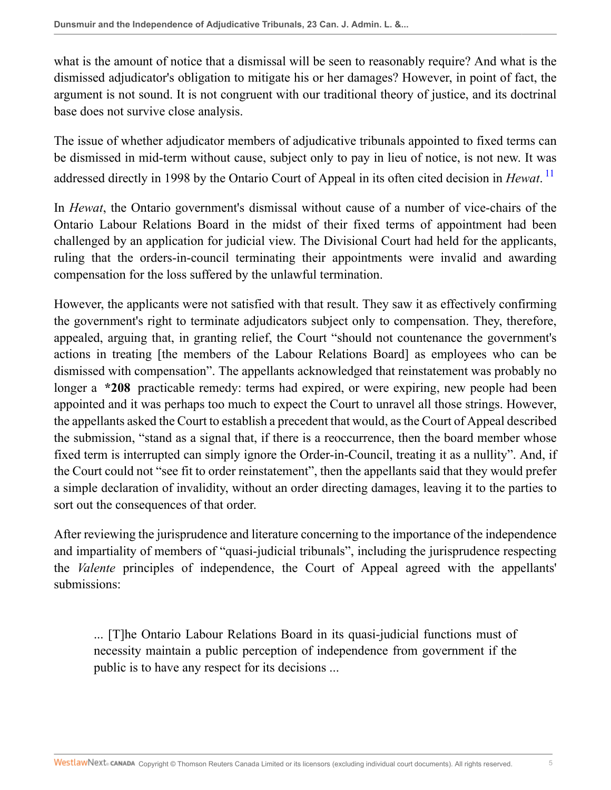what is the amount of notice that a dismissal will be seen to reasonably require? And what is the dismissed adjudicator's obligation to mitigate his or her damages? However, in point of fact, the argument is not sound. It is not congruent with our traditional theory of justice, and its doctrinal base does not survive close analysis.

<span id="page-4-0"></span>The issue of whether adjudicator members of adjudicative tribunals appointed to fixed terms can be dismissed in mid-term without cause, subject only to pay in lieu of notice, is not new. It was addressed directly in 1998 by the Ontario Court of Appeal in its often cited decision in *Hewat*. [11](#page-7-8)

In *Hewat*, the Ontario government's dismissal without cause of a number of vice-chairs of the Ontario Labour Relations Board in the midst of their fixed terms of appointment had been challenged by an application for judicial view. The Divisional Court had held for the applicants, ruling that the orders-in-council terminating their appointments were invalid and awarding compensation for the loss suffered by the unlawful termination.

However, the applicants were not satisfied with that result. They saw it as effectively confirming the government's right to terminate adjudicators subject only to compensation. They, therefore, appealed, arguing that, in granting relief, the Court "should not countenance the government's actions in treating [the members of the Labour Relations Board] as employees who can be dismissed with compensation". The appellants acknowledged that reinstatement was probably no longer a **\*208** practicable remedy: terms had expired, or were expiring, new people had been appointed and it was perhaps too much to expect the Court to unravel all those strings. However, the appellants asked the Court to establish a precedent that would, as the Court of Appeal described the submission, "stand as a signal that, if there is a reoccurrence, then the board member whose fixed term is interrupted can simply ignore the Order-in-Council, treating it as a nullity". And, if the Court could not "see fit to order reinstatement", then the appellants said that they would prefer a simple declaration of invalidity, without an order directing damages, leaving it to the parties to sort out the consequences of that order.

After reviewing the jurisprudence and literature concerning to the importance of the independence and impartiality of members of "quasi-judicial tribunals", including the jurisprudence respecting the *Valente* principles of independence, the Court of Appeal agreed with the appellants' submissions:

... [T]he Ontario Labour Relations Board in its quasi-judicial functions must of necessity maintain a public perception of independence from government if the public is to have any respect for its decisions ...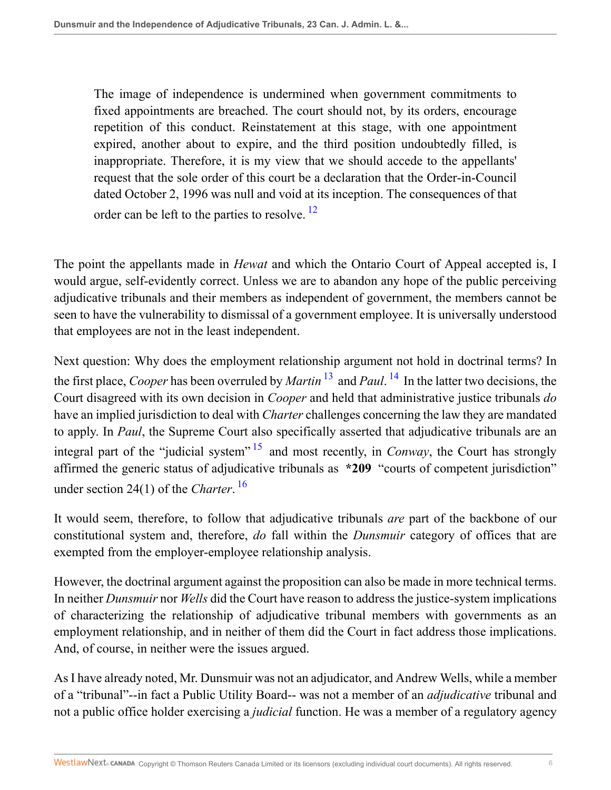<span id="page-5-0"></span>The image of independence is undermined when government commitments to fixed appointments are breached. The court should not, by its orders, encourage repetition of this conduct. Reinstatement at this stage, with one appointment expired, another about to expire, and the third position undoubtedly filled, is inappropriate. Therefore, it is my view that we should accede to the appellants' request that the sole order of this court be a declaration that the Order-in-Council dated October 2, 1996 was null and void at its inception. The consequences of that order can be left to the parties to resolve.<sup>[12](#page-7-9)</sup>

The point the appellants made in *Hewat* and which the Ontario Court of Appeal accepted is, I would argue, self-evidently correct. Unless we are to abandon any hope of the public perceiving adjudicative tribunals and their members as independent of government, the members cannot be seen to have the vulnerability to dismissal of a government employee. It is universally understood that employees are not in the least independent.

<span id="page-5-2"></span><span id="page-5-1"></span>Next question: Why does the employment relationship argument not hold in doctrinal terms? In the first place, *Cooper* has been overruled by *Martin* [13](#page-7-10) and *Paul*. [14](#page-7-11) In the latter two decisions, the Court disagreed with its own decision in *Cooper* and held that administrative justice tribunals *do* have an implied jurisdiction to deal with *Charter* challenges concerning the law they are mandated to apply. In *Paul*, the Supreme Court also specifically asserted that adjudicative tribunals are an integral part of the "judicial system" <sup>[15](#page-7-12)</sup> and most recently, in *Conway*, the Court has strongly affirmed the generic status of adjudicative tribunals as **\*209** "courts of competent jurisdiction" under section 24(1) of the *Charter*. [16](#page-7-13)

<span id="page-5-4"></span><span id="page-5-3"></span>It would seem, therefore, to follow that adjudicative tribunals *are* part of the backbone of our constitutional system and, therefore, *do* fall within the *Dunsmuir* category of offices that are exempted from the employer-employee relationship analysis.

However, the doctrinal argument against the proposition can also be made in more technical terms. In neither *Dunsmuir* nor *Wells* did the Court have reason to address the justice-system implications of characterizing the relationship of adjudicative tribunal members with governments as an employment relationship, and in neither of them did the Court in fact address those implications. And, of course, in neither were the issues argued.

As I have already noted, Mr. Dunsmuir was not an adjudicator, and Andrew Wells, while a member of a "tribunal"--in fact a Public Utility Board-- was not a member of an *adjudicative* tribunal and not a public office holder exercising a *judicial* function. He was a member of a regulatory agency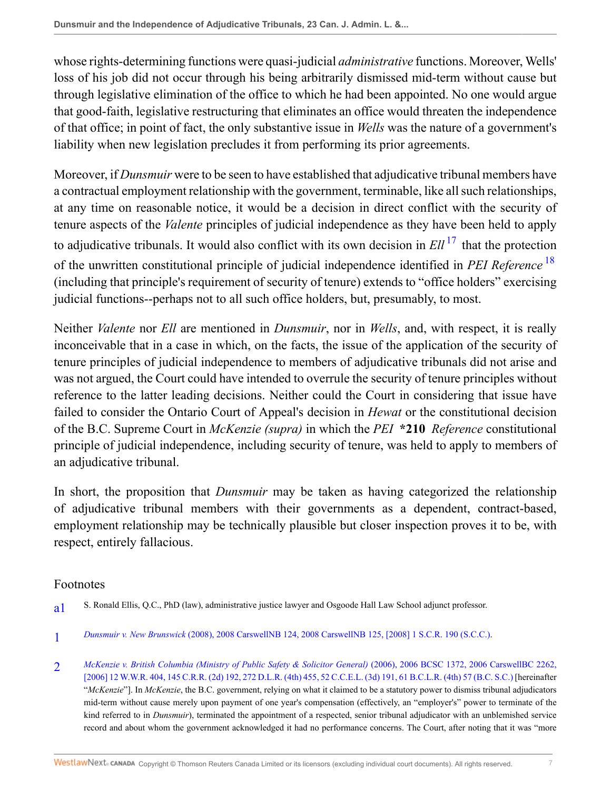whose rights-determining functions were quasi-judicial *administrative* functions. Moreover, Wells' loss of his job did not occur through his being arbitrarily dismissed mid-term without cause but through legislative elimination of the office to which he had been appointed. No one would argue that good-faith, legislative restructuring that eliminates an office would threaten the independence of that office; in point of fact, the only substantive issue in *Wells* was the nature of a government's liability when new legislation precludes it from performing its prior agreements.

<span id="page-6-3"></span>Moreover, if *Dunsmuir* were to be seen to have established that adjudicative tribunal members have a contractual employment relationship with the government, terminable, like all such relationships, at any time on reasonable notice, it would be a decision in direct conflict with the security of tenure aspects of the *Valente* principles of judicial independence as they have been held to apply to adjudicative tribunals. It would also conflict with its own decision in *Ell* [17](#page-7-14) that the protection of the unwritten constitutional principle of judicial independence identified in *PEI Reference* [18](#page-7-15) (including that principle's requirement of security of tenure) extends to "office holders" exercising judicial functions--perhaps not to all such office holders, but, presumably, to most.

<span id="page-6-4"></span>Neither *Valente* nor *Ell* are mentioned in *Dunsmuir*, nor in *Wells*, and, with respect, it is really inconceivable that in a case in which, on the facts, the issue of the application of the security of tenure principles of judicial independence to members of adjudicative tribunals did not arise and was not argued, the Court could have intended to overrule the security of tenure principles without reference to the latter leading decisions. Neither could the Court in considering that issue have failed to consider the Ontario Court of Appeal's decision in *Hewat* or the constitutional decision of the B.C. Supreme Court in *McKenzie (supra)* in which the *PEI* **\*210** *Reference* constitutional principle of judicial independence, including security of tenure, was held to apply to members of an adjudicative tribunal.

In short, the proposition that *Dunsmuir* may be taken as having categorized the relationship of adjudicative tribunal members with their governments as a dependent, contract-based, employment relationship may be technically plausible but closer inspection proves it to be, with respect, entirely fallacious.

#### Footnotes

- <span id="page-6-0"></span>[a1](#page-0-0) S. Ronald Ellis, Q.C., PhD (law), administrative justice lawyer and Osgoode Hall Law School adjunct professor.
- <span id="page-6-1"></span>[1](#page-0-1) *Dunsmuir v. New Brunswick* [\(2008\), 2008 CarswellNB 124, 2008 CarswellNB 125, \[2008\] 1 S.C.R. 190 \(S.C.C.\)](http://nextcanada.westlaw.com/Link/Document/FullText?findType=Y&serNum=2015426704&pubNum=5474&originatingDoc=I0020b944e33511df9b8c850332338889&refType=IC&originationContext=document&vr=3.0&rs=cblt1.0&transitionType=DocumentItem&contextData=(sc.Search)).
- <span id="page-6-2"></span> $\mathcal{D}$ *[McKenzie v. British Columbia \(Ministry of Public Safety & Solicitor General\)](http://nextcanada.westlaw.com/Link/Document/FullText?findType=Y&serNum=2010303189&pubNum=6459&originatingDoc=I0020b944e33511df9b8c850332338889&refType=IC&originationContext=document&vr=3.0&rs=cblt1.0&transitionType=DocumentItem&contextData=(sc.Search))* (2006), 2006 BCSC 1372, 2006 CarswellBC 2262, [\[2006\] 12 W.W.R. 404, 145 C.R.R. \(2d\) 192, 272 D.L.R. \(4th\) 455, 52 C.C.E.L. \(3d\) 191, 61 B.C.L.R. \(4th\) 57 \(B.C. S.C.\)](http://nextcanada.westlaw.com/Link/Document/FullText?findType=Y&serNum=2010303189&pubNum=6459&originatingDoc=I0020b944e33511df9b8c850332338889&refType=IC&originationContext=document&vr=3.0&rs=cblt1.0&transitionType=DocumentItem&contextData=(sc.Search)) [hereinafter "*McKenzie*"]. In *McKenzie*, the B.C. government, relying on what it claimed to be a statutory power to dismiss tribunal adjudicators mid-term without cause merely upon payment of one year's compensation (effectively, an "employer's" power to terminate of the kind referred to in *Dunsmuir*), terminated the appointment of a respected, senior tribunal adjudicator with an unblemished service record and about whom the government acknowledged it had no performance concerns. The Court, after noting that it was "more